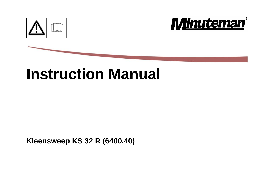



# **Instruction Manual**

**Kleensweep KS 32 R (6400.40)**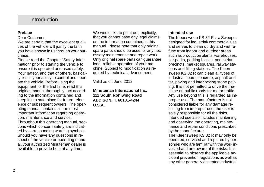## Introduction

#### <span id="page-1-0"></span>**Preface**

Dear Customer,

We are certain that the excellent qualities of the vehicle will justify the faith you have shown in us through your purchase.

Please read the Chapter "Safety Information" prior to starting the vehicle to ensure it is operated and used safely. Your safety, and that of others, basically lies in your ability to control and operate the vehicle. Before using the equipment for the first time, read this original manual thoroughly, act according to the information contained and keep it in a safe place for future reference or subsequent owners. The operating manual contains all the most important information regarding operation, maintenance and service. Throughout this operating manual, sections which concern safety are indicated by corresponding warning symbols. Should you have any questions in respect of the vehicle or operating manual, your authorized Minuteman dealer is available to provide help at any time.

We would like to point out, explicitly, that you cannot base any legal claims on the information contained in this manual. Please note that only original spare parts should be used for any necessary maintenance and repair work. Only original spare parts can guarantee long, reliable operation of your machine. Subject to modification as required by technical advancement.

Valid as of: June 2012

**Minuteman International Inc. 111 South Rohlwing Road ADDISON, II. 60101-4244 U.S.A.**

#### <span id="page-1-1"></span>**Intended use**

The Kleensweep KS 32 R is a Sweeper designed for industrial/ commercial use and serves to clean up dry and wet refuse from indoor and outdoor areas such as production plants, warehouses, car parks, parking blocks, pedestrian precincts, market squares, railway stations and filling stations. The Kleensweep KS 32 R can clean all types of industrial floors, concrete, asphalt and tar, paving and interlocking stone paving. It is not permitted to drive the machine on public roads for motor traffic. Any use beyond this is regarded as improper use. The manufacturer is not considered liable for any damage resulting from improper use; the user is solely responsible for all the risks. Intended use also includes maintaining and observing the operating, maintenance and repair conditions prescribed by the manufacturer.

The Kleensweep KS 32 R may only be operated, serviced and repaired by personnel who are familiar with the work involved and are aware of the risks. It is essential to observe the applicable accident prevention regulations as well as any other generally accepted industrial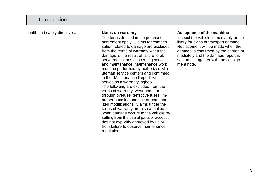## Introduction

health and safety directives. **Notes on warranty**

<span id="page-2-0"></span>The terms defined in the purchase agreement apply. Claims for compensation related to damage are excluded from the terms of warranty when the damage is the result of failure to observe regulations concerning service and maintenance. Maintenance work must be performed by authorized Minuteman service centers and confirmed in the "Maintenance Report" which serves as a warranty logbook. The following are excluded from the terms of warranty: wear and tear through overuse, defective fuses, improper handling and use or unauthorized modifications. Claims under the terms of warranty are also annulled when damage occurs to the vehicle resulting from the use of parts or accessories not explicitly approved by us or from failure to observe maintenance regulations.

#### <span id="page-2-1"></span>**Acceptance of the machine**

Inspect the vehicle immediately on delivery for signs of transport damage. Replacement will be made when the damage is confirmed by the carrier immediately and the damage report is sent to us together with the consignment note.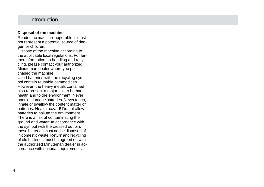## Introduction

#### <span id="page-3-0"></span>**Disposal of the machine**

Render the machine inoperable. It must not represent a potential source of danger for children.

Dispose of the machine according to the applicable local regulations. For further information on handling and recycling, please contact your authorized Minuteman dealer where you purchased the machine.

Used batteries with the recycling symbol contain reusable commodities. However, the heavy metals contained also represent a major risk to human health and to the environment. Never open or damage batteries. Never touch, inhale or swallow the content matter of batteries. Health hazard! Do not allow batteries to pollute the environment. There is a risk of contaminating the ground and water! In accordance with the symbol with the crossed out bin, these batteries must not be disposed of in domestic waste. Return and recycling of old batteries must be agreed on with the authorized Minuteman dealer in accordance with national requirements.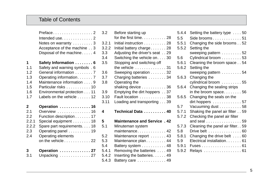## Table of Contents

|                                                 | Preface 2<br>Intended use2<br>Notes on warranty 3<br>Acceptance of the machine 3<br>Disposal of the machine 4                                                                                                 |
|-------------------------------------------------|---------------------------------------------------------------------------------------------------------------------------------------------------------------------------------------------------------------|
| 1                                               | Safety Information 6                                                                                                                                                                                          |
| 1.1                                             | Safety and warning symbols . 6                                                                                                                                                                                |
| 1.2                                             | General information 7                                                                                                                                                                                         |
| 1.3                                             | Operating information 7                                                                                                                                                                                       |
| 1.4                                             | Maintenance information 9                                                                                                                                                                                     |
| 1.5                                             | Particular risks 10                                                                                                                                                                                           |
| 1.6                                             | Environmental protection 11                                                                                                                                                                                   |
| 1.7                                             | Labels on the vehicle $\ldots$ , 12                                                                                                                                                                           |
| 2<br>2.1<br>2.2<br>2.2.1<br>2.2.2<br>2.3<br>2.4 | Operation  16<br>Overview 16<br>Function description 17<br>Special equipment 18<br>Spare part requirements. 18<br>Operating panel 19<br>Operating elements<br>on the vehicle $\ldots \ldots \ldots \ldots 22$ |
| 3                                               | Operation  27                                                                                                                                                                                                 |
| 3.1                                             | Unpacking  27                                                                                                                                                                                                 |

| 3.2   | Before starting up                           |
|-------|----------------------------------------------|
|       | for the first time28                         |
| 3.2.1 | Initial instruction 28                       |
| 3.2.2 | Initial battery charge 28                    |
| 3.3   | Adjusting the driver's seat 29               |
| 3.4   | Switching the vehicle on30                   |
| 3.5   | Stopping and switching off                   |
|       | the vehicle $\ldots \ldots \ldots \ldots 31$ |
| 3.6   | Sweeping operation 32                        |
| 3.7   | Charging batteries 34                        |
| 3.8   | Operating the                                |
|       | shaking device 36                            |
| 3.9   | Emptying the dirt hoppers 37                 |
| 3.10  | Fault location 38                            |
| 3.11  | Loading and transporting 39                  |
| 4     | Technical Data  40                           |
|       |                                              |
| 5     | <b>Maintenance and Service, 42</b>           |
| 5.1   | Minuteman system                             |
|       | maintenance 42                               |
| 5.2   | Maintenance report  43                       |
| 5.3   | Maintenance plan 44                          |
| 5.4   | Battery system 48                            |
| 5.4.1 | Removing the batteries 49                    |
| 5.4.2 | Inserting the batteries 49                   |
| 5.4.3 | Battery care 49                              |

| 5.4.4 | Setting the battery type 50                  |
|-------|----------------------------------------------|
| 5.5   | Side brooms $\ldots \ldots \ldots \ldots 51$ |
| 5.5.1 | Changing the side brooms 52                  |
| 5.5.2 | Setting the                                  |
|       | sweeping pattern 52                          |
| 5.6   | Cylindrical broom 53                         |
| 5.6.1 | Cleaning the broom space 54                  |
| 5.6.2 | Setting the                                  |
|       | sweeping pattern 54                          |
| 5.6.3 | Changing the                                 |
|       | cylindrical broom 55                         |
| 5.6.4 | Changing the sealing strips                  |
|       | in the broom space $56$                      |
| 5.6.5 | Changing the seals on the                    |
|       | dirt hoppers 57                              |
| 5.7   | Vacuuming dust 58                            |
| 5.7.1 | Shaking the panel air filter 59              |
| 5.7.2 | Checking the panel air filter                |
|       | and seal 59                                  |
| 5.7.3 | Cleaning the panel air filter. . 59          |
| 5.8   | Drive belt 60                                |
| 5.8.1 | Changing the drive belt  60                  |
| 5.9   | Electrical installation 61                   |
| 5.9.1 |                                              |
| 5.9.2 |                                              |
|       | Relays 61                                    |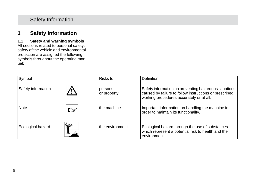#### <span id="page-5-1"></span><span id="page-5-0"></span>**1.1 Safety and warning symbols**

All sections related to personal safety, safety of the vehicle and environmental protection are assigned the following symbols throughout the operating manual:

| Symbol                    | Risks to               | <b>Definition</b>                                                                                                                                           |
|---------------------------|------------------------|-------------------------------------------------------------------------------------------------------------------------------------------------------------|
| Safety information        | persons<br>or property | Safety information on preventing hazardous situations<br>caused by failure to follow instructions or prescribed<br>working procedures accurately or at all. |
| <b>Note</b><br>咚          | the machine            | Important information on handling the machine in<br>order to maintain its functionality.                                                                    |
| 71 R<br>Ecological hazard | the environment        | Ecological hazard through the use of substances<br>which represent a potential risk to health and the<br>environment.                                       |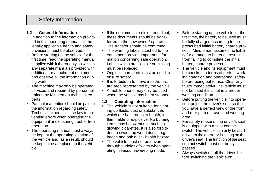#### <span id="page-6-0"></span>**1.2 General information**

- In addition to the information provided in this operating manual, all the legally applicable health and safety provisions must be observed.
- Before starting up the vehicle for the first time, read the operating manual supplied with it thoroughly as well as any separate manuals provided with additional or attachment equipment and observe all the information during work.
- The machine may only be operated, serviced and repaired by personnel trained by Minuteman technical experts.
- Particular attention should be paid to the information regarding safety. Technical expertise is the key to preventing errors when operating the equipment and ensuring trouble-free operation.
- The operating manual must always be kept at the operating location of the vehicle and, as a result, should be kept in a safe place on the vehicle.
- If the equipment is sold or rented out, these documents should be transferred to the new owner/ operator. The transfer should be confirmed!
- The warning labels attached to the equipment provide important information concerning safe operation. Labels which are illegible or missing must be replaced.
- Original spare parts must be used to ensure safety.
- It is forbidden to move into the hazard area represented by the vehicle.
- A mobile phone may only be used when the vehicle has been stopped.

#### <span id="page-6-1"></span>**1.3 Operating information**

- The vehicle is not suitable for clearing up fluids, dust or substances which are hazardous to health, inflammable or explosive. No burning items may be swept up, such as glowing cigarettes. It is also forbidden to sweep up wood dusts, e.g. beech and oak dust - health hazard!
- The vehicle must not be driven through puddles of water when operating in vacuum-sweeping mode.
- Before starting up the vehicle for the first time, the battery to be used must be fully charged according to the prescribed initial battery charge process. Minuteman assumes no liability for damage to batteries resulting from failing to complete the initial battery charge process.
- The vehicle and its equipment must be checked in terms of perfect working condition and operational safety before being put to use. Clear any faults immediately! The vehicle must not be used if it is not in a proper working condition.
- Before putting the vehicle into operation, adjust the driver's seat so that you have a perfect view of the front and rear path of travel and working area!
- For safety reasons, the driver's seat is equipped with a seat contact switch. The vehicle can only be started when the operator is sitting on the driver's seat. The function of the seat contact switch must not be bypassed.
- Always switch off all the drives before switching the vehicle on.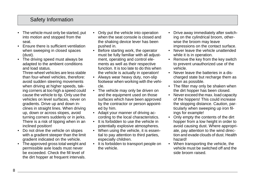- The vehicle must only be started, put into motion and stopped from the seat.
- Ensure there is sufficient ventilation when sweeping in closed spaces (dust).
- The driving speed must always be adapted to the ambient conditions and load status.

Three-wheel vehicles are less stable than four-wheel vehicles, therefore: avoid sudden steering movements when driving at higher speeds, taking corners at too high a speed could cause the vehicle to tip. Only use the vehicles on level surfaces, never on gradients. Drive up and down inclines in straight lines. When driving up, down or across slopes, avoid turning corners suddenly or in jerks. There is a risk of tipping when in an inclined position!

- Do not drive the vehicle on slopes with a gradient steeper than the limit gradient indicated on the vehicle.
- The approved gross total weight and permissible axle loads must never be exceeded. Check the fill level of the dirt hopper at frequent intervals.
- Only put the vehicle into operation when the seat console is closed and the shaking device lever has been pushed in.
- Before starting work, the operator must be fully familiar with all adjustment, operating and control elements as well as their respective function. It is too late to do this when the vehicle is actually in operation!
- Always wear heavy duty, non-slip footwear when working with the vehicle.
- The vehicle may only be driven on and the equipment used on those surfaces which have been approved by the contractor or person appointed by him.
- Adapt your manner of driving according to the local characteristics.
- It is forbidden to use the vehicle in potentially explosive atmospheres.
- When using the vehicle, it is essential to pay attention to third parties, especially children.
- It is forbidden to transport people on the vehicle.
- Drive away immediately after switching on the cylindrical broom, otherwise the broom may leave impressions on the contact surface.
- Never leave the vehicle unattended while it is in operation.
- Remove the key from the key switch to prevent unauthorized use of the vehicle.
- Never leave the batteries in a discharged state but recharge them as soon as possible.
- The filter may only be shaken when the dirt hopper has been closed.
- Never exceed the max. load capacity of the hoppers! This could increase the stopping distance. Caution, particularly when sweeping up iron filings for example!
- Only empty the contents of the dirt hopper from a low height in order to avoid causing dust. Where appropriate, pay attention to the wind direction and evade clouds of dust. Health hazard!
- When transporting the vehicle, the vehicle must be switched off and the side broom raised.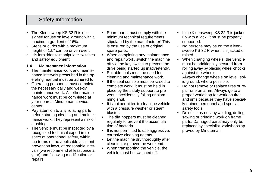- The Kleensweep KS 32 R is designed for use on level ground with a maximum gradient of 16%.
- Steps or curbs with a maximum height of 1.5" can be driven over.
- It is forbidden to manipulate switches and safety equipment.

#### <span id="page-8-0"></span>**1.4 Maintenance information**

- The maintenance work and maintenance intervals prescribed in the operating manual must be adhered to.
- Operating personnel must complete the necessary daily and weekly maintenance work. All other maintenance work must be completed at your nearest Minuteman service center.
- Pay attention to any rotating parts before starting cleaning and maintenance work. They represent a risk of crushing!
- The vehicle must be inspected by a recognized technical expert in respect of operational safety, within the terms of the applicable accident prevention laws, at reasonable intervals (we recommend at least once a year) and following modification or repairs.
- Spare parts must comply with the minimum technical requirements stipulated by the manufacturer! This is ensured by the use of original spare parts.
- When completing any maintenance and repair work, switch the machine off via the key switch to prevent the drive being started up inadvertently.
- Suitable tools must be used for cleaning and maintenance work.
- If the seat console must be raised to complete work, it must be held in place by the safety support to prevent it accidentally falling or slamming shut.
- It is not permitted to clean the vehicle with a pressure washer or steam blaster.
- The dirt hoppers must be cleaned regularly to prevent the accumulation of bacteria.
- It is not permitted to use aggressive, corrosive cleaning agents.
- Let the machine dry thoroughly after cleaning, e.g. over the weekend.
- When transporting the vehicle, the vehicle must be switched off.
- If the Kleensweep KS 32 R is jacked up with a jack, it must be properly supported.
- No persons may be on the Kleensweep KS 32 R when it is jacked or raised.
- When changing wheels, the vehicle must be additionally secured from rolling away by placing wheel chocks against the wheels.

Always change wheels on level, solid ground, where possible.

- Do not remove or replace tires or repair one on a rim. Always go to a proper workshop for work on tires and rims because they have specially trained personnel and special safety tools.
- Do not carry out any welding, drilling, sawing or grinding work on frame parts. Damaged parts may only be replaced by specialist workshops approved by Minuteman.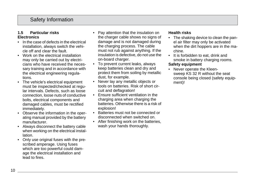#### <span id="page-9-0"></span>**1.5 Particular risks Electronics**

- In the case of defects in the electrical installation, always switch the vehicle off and clear the fault.
- Work on the electrical installation may only be carried out by electricians who have received the necessary training and in accordance with the electrical engineering regulations.
- The vehicle's electrical equipment must be inspected/checked at regular intervals. Defects, such as loose connection, loose nuts of conductive bolts, electrical components and damaged cables, must be rectified immediately.
- Observe the information in the operating manual provided by the battery manufacturer.
- Always disconnect the battery cable when working on the electrical installation.
- Only use original fuses with the prescribed amperage. Using fuses which are too powerful could damage the electrical installation and lead to fires.
- Pay attention that the insulation on the charger cable shows no signs of damage and is not damaged during the charging process. The cable must not rub against anything. If the insulation is defective, do not use the on-board charger.
- To prevent current leaks, always keep batteries clean and dry and protect them from soiling by metallic dust, for example.
- Never lay any metallic objects or tools on batteries. Risk of short circuit and deflagration!
- Ensure sufficient ventilation in the charging area when charging the batteries. Otherwise there is a risk of explosion!
- Batteries must not be connected or disconnected when switched on.
- After finishing work on the batteries. wash your hands thoroughly.

#### **Health risks**

- The shaking device to clean the panel air filter may only be activated when the dirt hoppers are in the machine.
- It is forbidden to eat, drink and smoke in battery charging rooms. **Safety equipment**
- Never operate the Kleensweep KS 32 R without the seat console being closed (safety equipment)!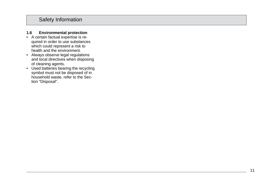#### <span id="page-10-0"></span>**1.6 Environmental protection**

- A certain factual expertise is re quired in order to use substances which could represent a risk to health and the environment.
- Always observe legal regulations and local directives when disposing of cleaning agents.
- Used batteries bearing the recycling symbol must not be disposed of in household waste, refer to the Sec tion "Disposal".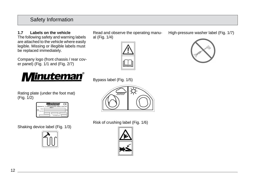**1.7 Labels on the vehicle** The following safety and warning labels are attached to the vehicle where easily legible. Missing or illegible labels must be replaced immediately.

Company logo (front chassis / rear cover panel) [\(Fig. 1/1](#page-12-0) and [\(Fig. 2/7](#page-14-1))



Rating plate (under the foot mat) [\(Fig. 1/2](#page-12-0))

|                         | Member of the Halco Group<br>Made in | inuteman<br>Minuternan Inc., 111 South Rohlwing Road Addison, IL 60101 USA | ٠ρ |
|-------------------------|--------------------------------------|----------------------------------------------------------------------------|----|
| Mode<br>-<br>Perisi No. |                                      |                                                                            |    |
|                         |                                      | Total swidht ka' b:                                                        |    |

Shaking device label [\(Fig. 1/3](#page-12-0))



Read and observe the operating manual [\(Fig. 1/](#page-12-0)4)







Risk of crushing label [\(Fig. 1/6](#page-12-0))



High-pressure washer label [\(Fig. 1/7](#page-12-0))

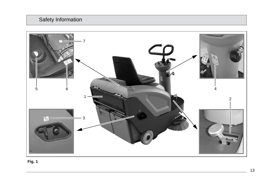

<span id="page-12-0"></span> **Fig. 1**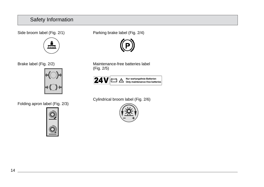Side broom label [\(Fig. 2/1](#page-14-1))



Brake label [\(Fig. 2/](#page-14-1)2)



Folding apron label [\(Fig. 2/3](#page-14-1))



Parking brake label [\(Fig. 2/](#page-14-1)4)



Maintenance-free batteries label [\(Fig. 2/5](#page-14-1))



Cylindrical broom label [\(Fig. 2/](#page-14-1)6)

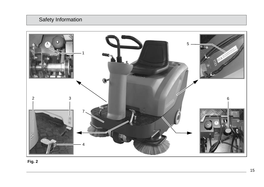<span id="page-14-0"></span>

<span id="page-14-1"></span>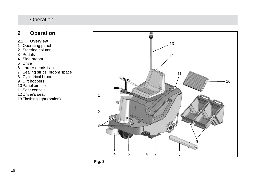## **2 Operation**

#### **2.1 Overview**

- 1 Operating panel
- 2 Steering column
- 3 Pedals
- 4 Side broom
- 5 Drive
- 6 Larger debris flap
- 7 Sealing strips, broom space
- 8 Cylindrical broom
- 9 Dirt hoppers
- 10 Panel air filter
- 11 Seat console
- 12 Driver's seat
- 13 Flashing light (option)



<span id="page-15-0"></span>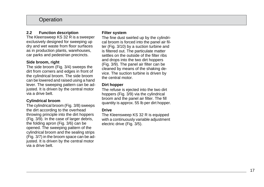#### **2.2 Function description**

The Kleensweep KS 32 R is a sweeper exclusively designed for sweeping up dry and wet waste from floor surfaces as in production plants, warehouses, car parks and pedestrian precincts.

#### **Side broom, right**

The side broom [\(Fig. 3/4](#page-15-0)) sweeps the dirt from corners and edges in front of the cylindrical broom. The side broom can be lowered and raised using a hand lever. The sweeping pattern can be adjusted. It is driven by the central motor via a drive belt.

#### **Cylindrical broom**

The cylindrical broom [\(Fig. 3/](#page-15-0)8) sweeps the dirt according to the overhead throwing principle into the dirt hoppers [\(Fig. 3/9](#page-15-0)). In the case of larger debris, the folding apron [\(Fig. 3/](#page-15-0)6) can be opened. The sweeping pattern of the cylindrical broom and the sealing strips [\(Fig. 3/7](#page-15-0)) in the broom space can be adjusted. It is driven by the central motor via a drive belt.

#### **Filter system**

The fine dust swirled up by the cylindrical broom is forced into the panel air filter [\(Fig. 3/1](#page-15-0)0) by a suction turbine and is filtered out. The particulate matter settles on the outside of the filter ribs and drops into the two dirt hoppers [\(Fig. 3/9](#page-15-0)). The panel air filter can be cleaned by means of the shaking device. The suction turbine is driven by the central motor.

#### **Dirt hopper**

The refuse is ejected into the two dirt hoppers [\(Fig. 3/9](#page-15-0)) via the cylindrical broom and the panel air filter. The fill quantity is approx. 55 lb per dirt hopper.

#### **Drive**

The Kleensweep KS 32 R is equipped with a continuously variable adjustment electric drive [\(Fig. 3/5](#page-15-0)).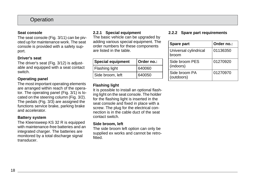#### **Seat console**

The seat console [\(Fig. 3/](#page-15-0)11) can be pivoted up for maintenance work. The seat console is provided with a safety support.

#### **Driver's seat**

The driver's seat [\(Fig. 3/](#page-15-0)12) is adjustable and equipped with a seat contact switch.

#### **Operating panel**

The most important operating elements are arranged within reach of the operator. The operating panel [\(Fig. 3/1](#page-15-0)) is located on the steering column [\(Fig. 3/](#page-15-0)2). The pedals [\(Fig. 3/3](#page-15-0)) are assigned the functions service brake, parking brake and accelerator.

#### **Battery system**

The Kleensweep KS 32 R is equipped with maintenance-free batteries and an integrated charger. The batteries are monitored by a total discharge signal transducer.

#### **2.2.1 Special equipment**

The basic vehicle can be upgraded by adding various special equipment. The order numbers for these components are listed in the table.

| <b>Special equipment</b> | Order no.: |
|--------------------------|------------|
| Flashing light           | 640060     |
| Side broom, left         | 640050     |

#### **Flashing light**

It is possible to install an optional flashing light on the seat console. The holder for the flashing light is inserted in the seat console and fixed in place with a screw. The plug for the electrical connection is in the cable duct of the seat contact switch.

#### **Side broom, left**

The side broom left option can only be supplied ex works and cannot be retrofitted.

#### **2.2.2 Spare part requirements**

| Spare part                     | Order no.: |
|--------------------------------|------------|
| Universal cylindrical<br>broom | 01136350   |
| Side broom PES<br>(indoors)    | 01270920   |
| Side broom PA<br>(outdoors)    | 01270970   |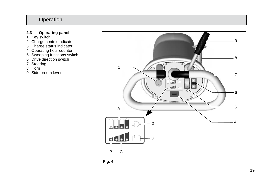#### **2.3 Operating panel**

- 1 Key switch
- 2 Charge control indicator
- 3 Charge status indicator
- 4 Operating hour counter
- 5 Sweeping functions switch
- 6 Drive direction switch
- 7 Steering
- 8 Horn
- 9 Side broom lever



<span id="page-18-0"></span>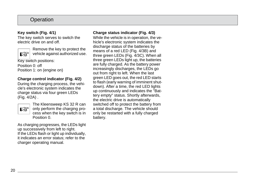#### **Key switch [\(Fig. 4/](#page-18-0)1)**

The key switch serves to switch the electric drive on and off.



Remove the key to protect the vehicle against authorized use.

Key switch positions: Position 0: off Position 1: on (engine on)

#### **Charge control indicator [\(Fig. 4/2](#page-18-0))**

During the charging process, the vehicle's electronic system indicates the charge status via four green LEDs [\(Fig. 4/2](#page-18-0)A) .



The Kleensweep KS 32 R can only perform the charging process when the key switch is in Position 0

As charging progresses, the LEDs light up successively from left to right. If the LEDs flash or light up individually, it indicates an error status; refer to the charger operating manual.

## **Charge status indicator [\(Fig. 4/3](#page-18-0))**

While the vehicle is in operation, the vehicle's electronic system indicates the discharge status of the batteries by means of a red LED [\(Fig. 4/](#page-18-0)3B) and three green LEDs [\(Fig. 4/3](#page-18-0)C). When all three green LEDs light up, the batteries are fully charged. As the battery power increasingly discharges, the LEDs go out from right to left. When the last green LED goes out, the red LED starts to flash (early warning of imminent shutdown). After a time, the red LED lights up continuously and indicates the "Battery empty" status. Shortly afterwards, the electric drive is automatically switched off to protect the battery from a total discharge. The vehicle should only be restarted with a fully charged battery.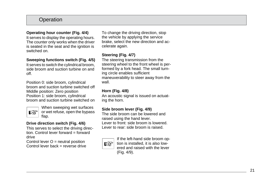#### **Operating hour counter [\(Fig. 4/4](#page-18-0))**

It serves to display the operating hours. The counter only works when the driver is seated in the seat and the ignition is switched on.

#### **Sweeping functions switch [\(Fig. 4/5](#page-18-0))**

It serves to switch the cylindrical broom, side broom and suction turbine on and off.

Position 0: side broom, cylindrical broom and suction turbine switched off Middle position: Zero position Position 1: side broom, cylindrical broom and suction turbine switched on



When sweeping wet surfaces or wet refuse, open the bypass flap.

#### **Drive direction switch [\(Fig. 4/6](#page-18-0))**

This serves to select the driving direction. Control lever forward = forward drive

Control lever  $O =$  neutral position Control lever back = reverse drive

To change the driving direction, stop the vehicle by applying the service brake, select the new direction and accelerate again.

### **Steering [\(Fig. 4/](#page-18-0)7)**

The steering transmission from the steering wheel to the front wheel is performed by a fork head. The small turning circle enables sufficient maneuverability to steer away from the wall.

#### **Horn [\(Fig. 4/](#page-18-0)8)**

An acoustic signal is issued on actuating the horn.

#### **Side broom lever [\(Fig. 4/](#page-18-0)9)**

The side broom can be lowered and raised using the hand lever. Lever to front: side broom is lowered. Lever to rear: side broom is raised.



If the left-hand side broom op tion is installed, it is also low ered and raised with the lever [\(Fig. 4/9](#page-18-0)).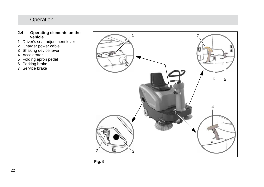#### **2.4 Operating elements on the vehicle**

- 1 Driver's seat adjustment lever
- 2 Charger power cable
- 3 Shaking device lever
- 4 Accelerator
- 5 Folding apron pedal
- 6 Parking brake
- 7 Service brake



<span id="page-21-0"></span>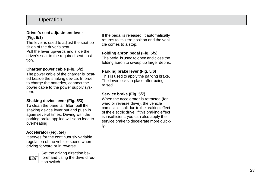#### **Driver's seat adjustment lever [\(Fig. 5/1](#page-21-0))**

The lever is used to adjust the seat position of the driver's seat.

Pull the lever upwards and slide the driver's seat to the required seat position.

#### **Charger power cable [\(Fig. 5/](#page-21-0)2)**

The power cable of the charger is located beside the shaking device. In order to charge the batteries, connect the power cable to the power supply system.

#### **Shaking device lever [\(Fig. 5/](#page-21-0)3)**

To clean the panel air filter, pull the shaking device lever out and push in again several times. Driving with the parking brake applied will soon lead to overheating

#### **Accelerator [\(Fig. 5/](#page-21-0)4)**

It serves for the continuously variable regulation of the vehicle speed when driving forward or in reverse.



Set the driving direction be forehand using the drive direc tion switch.

If the pedal is released, it automatically returns to its zero position and the vehicle comes to a stop.

#### **Folding apron pedal [\(Fig. 5/](#page-21-0)5)**

The pedal is used to open and close the folding apron to sweep up larger debris.

#### **Parking brake lever [\(Fig. 5/](#page-21-0)6)**

This is used to apply the parking brake. The lever locks in place after being raised.

#### **Service brake [\(Fig. 5/7](#page-21-0))**

When the accelerator is retracted (forward or reverse drive), the vehicle comes to a halt due to the braking effect of the electric drive. If this braking effect is insufficient, you can also apply the service brake to decelerate more quickly.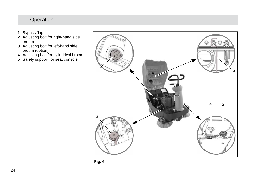- 1 Bypass flap
- 2 Adjusting bolt for right-hand side broom
- 3 Adjusting bolt for left-hand side broom (option)
- 4 Adjusting bolt for cylindrical broom
- 5 Safety support for seat console



<span id="page-23-0"></span>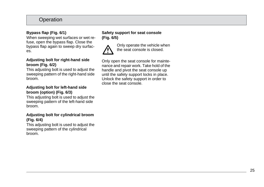#### **Bypass flap [\(Fig. 6/1](#page-23-0))**

When sweeping wet surfaces or wet refuse, open the bypass flap. Close the bypass flap again to sweep dry surfaces.

#### **Adjusting bolt for right-hand side broom [\(Fig. 6/](#page-23-0)2)**

This adjusting bolt is used to adjust the sweeping pattern of the right-hand side broom.

#### **Adjusting bolt for left-hand side broom (option) [\(Fig. 6/](#page-23-0)3)**

This adjusting bolt is used to adjust the sweeping pattern of the left-hand side broom.

#### **Adjusting bolt for cylindrical broom [\(Fig. 6/4](#page-23-0))**

This adjusting bolt is used to adjust the sweeping pattern of the cylindrical broom.

#### **Safety support for seat console [\(Fig. 6/5](#page-23-0))**



Only operate the vehicle when the seat console is closed.

Only open the seat console for maintenance and repair work. Take hold of the handle and pivot the seat console up until the safety support locks in place. Unlock the safety support in order to close the seat console.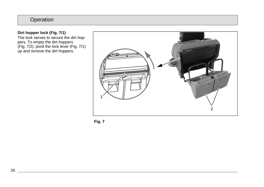#### **Dirt hopper lock [\(Fig. 7/](#page-25-1)1)**

The lock serves to secure the dirt hoppers. To empty the dirt hoppers (Fig. 7/2), pivot the lock lever (Fig. 7/1) up and remove the dirt hoppers.



<span id="page-25-1"></span><span id="page-25-0"></span>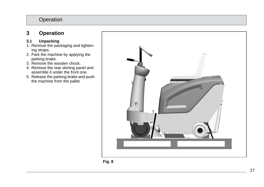## <span id="page-26-0"></span>**3 Operation**

#### <span id="page-26-1"></span>**3.1 Unpacking**

- 1. Remove the packaging and tightening straps.
- 2. Park the machine by applying the parking brake.
- 3. Remove the wooden chock.
- 4. Remove the rear skirting panel and assemble it under the front one.
- 5. Release the parking brake and push the machine from the pallet.



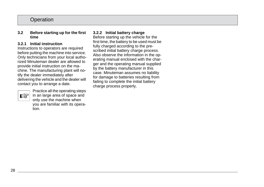#### <span id="page-27-0"></span>**3.2 Before starting up for the first time**

#### <span id="page-27-1"></span>**3.2.1 Initial instruction**

Instructions to operators are required before putting the machine into service. Only technicians from your local authorized Minuteman dealer are allowed to provide initial instruction on the machine. The manufacturing plant will notify the dealer immediately after delivering the vehicle and the dealer will contact you to arrange a date.



Practice all the operating steps in an large area of space and only use the machine when you are familiar with its operation.

#### <span id="page-27-2"></span>**3.2.2 Initial battery charge**

Before starting up the vehicle for the first time, the battery to be used must be fully charged according to the prescribed initial battery charge process. Also observe the information in the operating manual enclosed with the charger and the operating manual supplied by the battery manufacturer in this case. Minuteman assumes no liability for damage to batteries resulting from failing to complete the initial battery charge process properly.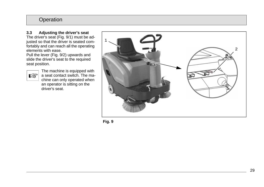#### <span id="page-28-0"></span>**3.3 Adjusting the driver's seat**

The driver's seat [\(Fig. 9/](#page-28-1)1) must be adjusted so that the driver is seated comfortably and can reach all the operating elements with ease.

Pull the lever [\(Fig. 9/](#page-28-1)2) upwards and slide the driver's seat to the required seat position.



The machine is equipped with a seat contact switch. The machine can only operated when an operator is sitting on the driver's seat.



<span id="page-28-1"></span>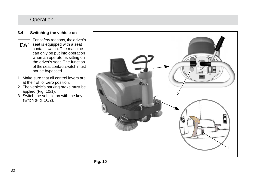#### <span id="page-29-0"></span>**3.4 Switching the vehicle on**



- For safety reasons, the driver's  $\mathbb{R}$  seat is equipped with a seat contact switch. The machine can only be put into operation when an operator is sitting on the driver's seat. The function of the seat contact switch must not be bypassed.
- 1. Make sure that all control levers are at their off or zero position.
- 2. The vehicle's parking brake must be applied [\(Fig. 10/1](#page-29-1)).
- 3. Switch the vehicle on with the key switch [\(Fig. 10/2](#page-29-1)).



<span id="page-29-1"></span>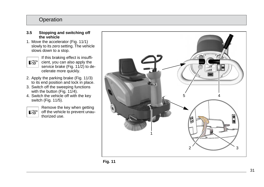- <span id="page-30-0"></span>**3.5 Stopping and switching off the vehicle**
- 1. Move the accelerator [\(Fig. 11/](#page-30-1)1) slowly to its zero setting. The vehicle slows down to a stop.

If this braking effect is insuffi -  $\mathbb{R}$ cient, you can also apply the service brake [\(Fig. 11/](#page-30-1)2) to de celerate more quickly.

- 2. Apply the parking brake [\(Fig. 11/3](#page-30-1)) to its end position and lock in place.
- 3. Switch off the sweeping functions with the button [\(Fig. 11/4](#page-30-1)).
- 4. Switch the vehicle off with the key switch [\(Fig. 11/](#page-30-1)5).

咚

Remove the key when getting off the vehicle to prevent unau thorized use.



<span id="page-30-1"></span>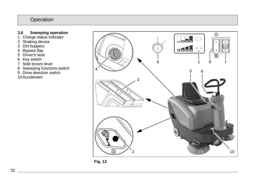#### <span id="page-31-0"></span>**3.6 Sweeping operation**

- 1 Charge status indicator
- 2 Shaking device
- 3 Dirt hoppers
- 4 Bypass flap
- 5 Driver's seat
- 6 Key switch
- 7 Side broom lever
- 8 Sweeping functions switch
- 9 Drive direction switch
- 10 Accelerator



<span id="page-31-1"></span>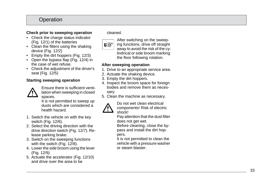#### **Check prior to sweeping operation**

- Check the charge status indicator [\(Fig. 12/1](#page-31-1)) of the batteries
- Clean the filters using the shaking device [\(Fig. 12/](#page-31-1)2)
- Empty the dirt hoppers [\(Fig. 12/3](#page-31-1))
- Open the bypass flap [\(Fig. 12/](#page-31-1)4) in the case of wet refuse.
- Check the adjustment of the driver's seat [\(Fig. 12/](#page-31-1)5)

#### **Starting sweeping operation**



Ensure there is sufficient venti lation when sweeping in closed spaces.

It is not permitted to sweep up dusts which are considered a health hazard.

- 1. Switch the vehicle on with the key switch [\(Fig. 12/](#page-31-1)6).
- 2. Select the driving direction with the drive direction switch [\(Fig. 12/](#page-31-1)7). Re lease parking brake.
- 3. Switch on the sweeping functions with the switch [\(Fig. 12/8](#page-31-1)).
- 4. Lower the side broom using the lever [\(Fig. 12/9](#page-31-1)).
- 5. Actuate the accelerator [\(Fig. 12/1](#page-31-1)0) and drive over the area to be

cleaned.



After switching on the sweep ing functions, drive off straight away to avoid the risk of the cy lindrical or side broom marking the floor following rotation.

#### **After sweeping operation**

- 1. Drive to an appropriate service area.
- 2. Actuate the shaking device.
- 3. Empty the dirt hoppers.
- 4. Inspect the broom space for foreign bodies and remove them as neces sary.
- 5. Clean the machine as necessary.



Do not wet clean electrical components! Risk of electric shock!

Pay attention that the dust filter does not get wet.

Before cleaning, close the by pass and install the dirt hop pers.

It is not permitted to clean the vehicle with a pressure washer or steam blaster.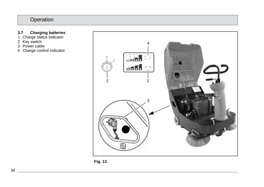#### <span id="page-33-0"></span>**3.7 Charging batteries**

- 1 Charge status indicator
- 2 Key switch
- 3 Power cable
- 4 Charge control indicator



<span id="page-33-1"></span>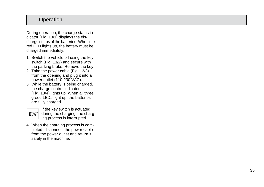During operation, the charge status indicator [\(Fig. 13/](#page-33-1)1) displays the discharge status of the batteries. When the red LED lights up, the battery must be charged immediately.

- 1. Switch the vehicle off using the key switch [\(Fig. 13/](#page-33-1)2) and secure with the parking brake. Remove the key.
- 2. Take the power cable [\(Fig. 13/](#page-33-1)3) from the opening and plug it into a power outlet (110-230 VAC).
- 3. While the battery is being charged, the charge control indicator [\(Fig. 13/4](#page-33-1)) lights up. When all three greed LEDs light up, the batteries are fully charged.



If the key switch is actuated during the charging, the charg ing process is interrupted.

4. When the charging process is com pleted, disconnect the power cable from the power outlet and return it safely in the machine.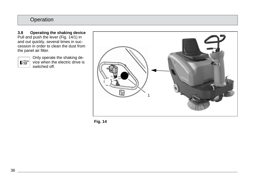<span id="page-35-0"></span>**3.8 Operating the shaking device**  Pull and push the lever [\(Fig. 14/1](#page-35-1)) in and out quickly, several times in succession in order to clean the dust from the panel air filter.

Only operate the shaking de- $\mathbb{R}$  vice when the electric drive is switched off.



<span id="page-35-1"></span>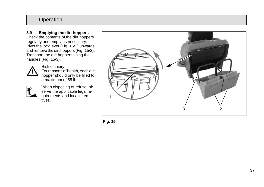#### <span id="page-36-0"></span>**3.9 Emptying the dirt hoppers** Check the contents of the dirt hoppers regularly and empty as necessary.

Pivot the lock lever [\(Fig. 15/](#page-36-1)1) upwards and remove the dirt hoppers [\(Fig. 15/](#page-36-1)2). Transport the dirt hoppers using the handles [\(Fig. 15/3](#page-36-1)).



Risk of injury! For reasons of health, each dirt hopper should only be filled to a maximum of 55 lb!



When disposing of refuse, ob serve the applicable legal re quirements and local direc tives.



<span id="page-36-1"></span>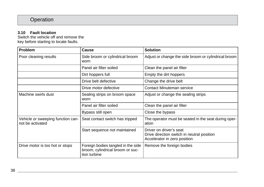#### <span id="page-37-0"></span>**3.10 Fault location**

Switch the vehicle off and remove the key before starting to locate faults.

| Problem                                               | Cause                                                                                  | <b>Solution</b>                                                                                       |
|-------------------------------------------------------|----------------------------------------------------------------------------------------|-------------------------------------------------------------------------------------------------------|
| Poor cleaning results                                 | Side broom or cylindrical broom<br>worn                                                | Adjust or change the side broom or cylindrical broom                                                  |
|                                                       | Panel air filter soiled                                                                | Clean the panel air filter                                                                            |
|                                                       | Dirt hoppers full                                                                      | Empty the dirt hoppers                                                                                |
|                                                       | Drive belt defective                                                                   | Change the drive belt                                                                                 |
|                                                       | Drive motor defective                                                                  | Contact Minuteman service                                                                             |
| Machine swirls dust                                   | Sealing strips on broom space<br>worn                                                  | Adjust or change the sealing strips                                                                   |
|                                                       | Panel air filter soiled                                                                | Clean the panel air filter                                                                            |
|                                                       | Bypass still open                                                                      | Close the bypass                                                                                      |
| Vehicle or sweeping function can-<br>not be activated | Seat contact switch has tripped                                                        | The operator must be seated in the seat during oper-<br>ation                                         |
|                                                       | Start sequence not maintained                                                          | Driver on driver's seat<br>Drive direction switch in neutral position<br>Accelerator in zero position |
| Drive motor is too hot or stops                       | Foreign bodies tangled in the side<br>broom, cylindrical broom or suc-<br>tion turbine | Remove the foreign bodies                                                                             |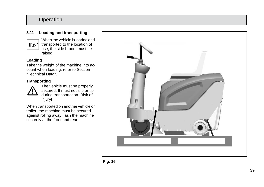#### <span id="page-38-0"></span>**3.11 Loading and transporting**



When the vehicle is loaded and transported to the location of use, the side broom must be raised.

#### **Loading**

Take the weight of the machine into account when loading, refer to Section "Technical Data".

## **Transporting**



The vehicle must be properly secured. It must not slip or tip during transportation. Risk of injury!

When transported on another vehicle or trailer, the machine must be secured against rolling away: lash the machine securely at the front and rear.



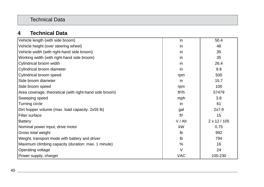## Technical Data

## **4 Technical Data**

| Vehicle length (with side broom)                        | in              | 50.4                |
|---------------------------------------------------------|-----------------|---------------------|
| Vehicle height (over steering wheel)                    | in              | 48                  |
| Vehicle width (with right-hand side broom)              | in              | 35                  |
| Working width (with right-hand side broom)              | in              | 35                  |
| Cylindrical broom width                                 | in              | 26.4                |
| Cylindrical broom diameter                              | in              | 9.8                 |
| Cylindrical broom speed                                 | rpm             | 500                 |
| Side broom diameter                                     | in              | 15.7                |
| Side broom speed                                        | rpm             | 100                 |
| Area coverage, theoretical (with right-hand side broom) | ft $2/h$        | 57479               |
| Sweeping speed                                          | mph             | 3.8                 |
| Turning circle                                          | in              | 61                  |
| Dirt hopper volume (max. load capacity: 2x55 lb)        | gal             | 2x7.9               |
| Filter surface                                          | ft <sup>2</sup> | 15                  |
| <b>Battery</b>                                          | V/Ah            | $2 \times 12 / 105$ |
| Nominal power input, drive motor                        | kW              | 0.75                |
| Gross total weight                                      | Ib              | 992                 |
| Weight, transport mode with battery and driver          | Ib              | 794                 |
| Maximum climbing capacity (duration: max. 1 minute)     | $\%$            | 16                  |
| Operating voltage                                       | $\vee$          | 24                  |
| Power supply, charger                                   | <b>VAC</b>      | 100-230             |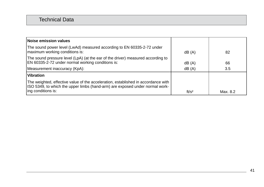## Technical Data

<span id="page-40-0"></span>

| <b>Noise emission values</b>                                                                                                                                      |                   |          |
|-------------------------------------------------------------------------------------------------------------------------------------------------------------------|-------------------|----------|
| The sound power level (LwAd) measured according to EN 60335-2-72 under<br>maximum working conditions is:                                                          | dB(A)             | 82       |
| The sound pressure level (LpA) (at the ear of the driver) measured according to<br>EN 60335-2-72 under normal working conditions is:                              | dB(A)             | 66       |
| Measurement inaccuracy (KpA):                                                                                                                                     | dB(A)             | 3.5      |
| <b>Vibration</b>                                                                                                                                                  |                   |          |
| The weighted, effective value of the acceleration, established in accordance with<br>ISO 5349, to which the upper limbs (hand-arm) are exposed under normal work- |                   |          |
| ing conditions is:                                                                                                                                                | ft/s <sup>2</sup> | Max. 8.2 |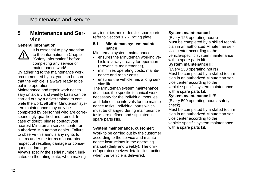## **5 Maintenance and Service**

#### **General information**



It is essential to pay attention to the information in Chapter "Safety Information" before completing any service or maintenance work!

By adhering to the maintenance work recommended by us, you can be sure that the vehicle is always ready to be put into operation.

Maintenance and repair work necessary on a daily and weekly basis can be carried out by a driver trained to complete the work, all other Minuteman system maintenance may only be completed by personnel who are correspondingly qualified and trained. In case of doubt, please contact your nearest Minuteman service center or authorized Minuteman dealer. Failure to observe this annuls any rights to claims under the terms of guarantee in respect of resulting damage or consequential damage.

Always specify the serial number, indicated on the rating plate, when making any inquiries and orders for spare parts, refer to Section 1.7 - Rating plate.

#### **5.1 Minuteman system maintenance**

Minuteman system maintenance:

- ensures the Minuteman working vehicle is always ready for operation (preventive maintenance),
- minimizes operating costs, maintenance and repair costs,
- ensures the vehicle has a long service life.

The Minuteman system maintenance describes the specific technical work necessary for the individual modules and defines the intervals for the maintenance tasks. Individual parts which must be changed during maintenance tasks are defined and stipulated in spare parts kits.

#### **System maintenance, customer:**

Work to be carried out by the customer according to the service and maintenance instructions in the operating manual (daily and weekly). The driver/operator receives detailed instruction when the vehicle is delivered.

#### **System maintenance I:**

(Every 125 operating hours) Must be completed by a skilled technician in an authorized Minuteman service center according to the vehicle-specific system maintenance with a spare parts kit.

#### **System maintenance II:**

(Every 250 operating hours) Must be completed by a skilled technician in an authorized Minuteman service center according to the vehicle-specific system maintenance with a spare parts kit.

#### **System maintenance III/S:**

(Every 500 operating hours, safety check)

Must be completed by a skilled technician in an authorized Minuteman service center according to the vehicle-specific system maintenance with a spare parts kit.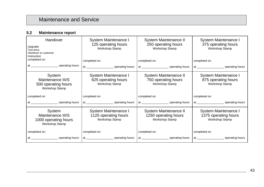#### **5.2 Maintenance report**

| Handover<br>Upgrade<br>Test drive<br>Handover to customer<br>Instruction<br>completed on: | System Maintenance I<br>125 operating hours<br>Workshop Stamp<br>completed on: | System Maintenance II<br>250 operating hours<br>Workshop Stamp<br>completed on: | System Maintenance I<br>375 operating hours<br>Workshop Stamp<br>completed on: |
|-------------------------------------------------------------------------------------------|--------------------------------------------------------------------------------|---------------------------------------------------------------------------------|--------------------------------------------------------------------------------|
| System<br>Maintenance III/S<br>500 operating hours<br>Workshop Stamp                      | System Maintenance I<br>625 operating hours<br>Workshop Stamp                  | System Maintenance II<br>750 operating hours<br>Workshop Stamp                  | System Maintenance I<br>875 operating hours<br>Workshop Stamp                  |
| completed on:                                                                             | completed on:                                                                  | completed on:                                                                   | completed on:                                                                  |
|                                                                                           |                                                                                |                                                                                 |                                                                                |
| System<br>Maintenance III/S<br>1000 operating hours<br>Workshop Stamp                     | System Maintenance I<br>1125 operating hours<br>Workshop Stamp                 | System Maintenance II<br>1250 operating hours<br>Workshop Stamp                 | System Maintenance I<br>1375 operating hours<br>Workshop Stamp                 |
| completed on:                                                                             | completed on:                                                                  | completed on:                                                                   | completed on:                                                                  |
|                                                                                           |                                                                                |                                                                                 | at operating hours                                                             |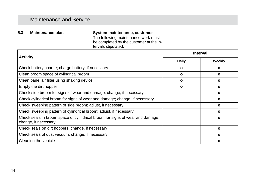<span id="page-43-0"></span>**5.3 Maintenance plan System maintenance, customer** The following maintenance work must be completed by the customer at the intervals stipulated.

| <b>Activity</b>                                                                                       | <b>Interval</b> |        |
|-------------------------------------------------------------------------------------------------------|-----------------|--------|
|                                                                                                       | Daily           | Weekly |
| Check battery charge; charge battery, if necessary                                                    | $\mathbf{o}$    | ο      |
| Clean broom space of cylindrical broom                                                                | ο               | ٥      |
| Clean panel air filter using shaking device                                                           | $\mathbf{o}$    | ο      |
| Empty the dirt hopper                                                                                 | ο               | ο      |
| Check side broom for signs of wear and damage; change, if necessary                                   |                 | ο      |
| Check cylindrical broom for signs of wear and damage; change, if necessary                            |                 | ο      |
| Check sweeping pattern of side broom; adjust, if necessary                                            |                 | ο      |
| Check sweeping pattern of cylindrical broom; adjust, if necessary                                     |                 | ٥      |
| Check seals in broom space of cylindrical broom for signs of wear and damage;<br>change, if necessary |                 | ο      |
| Check seals on dirt hoppers; change, if necessary                                                     |                 | ο      |
| Check seals of dust vacuum; change, if necessary                                                      |                 | ο      |
| Cleaning the vehicle                                                                                  |                 | ο      |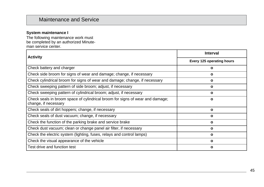#### **System maintenance I**

The following maintenance work must be completed by an authorized Minuteman service center.

| <b>Activity</b>                                                                                       | <b>Interval</b>           |  |  |
|-------------------------------------------------------------------------------------------------------|---------------------------|--|--|
|                                                                                                       | Every 125 operating hours |  |  |
| Check battery and charger                                                                             | ο                         |  |  |
| Check side broom for signs of wear and damage; change, if necessary                                   | $\mathbf{o}$              |  |  |
| Check cylindrical broom for signs of wear and damage; change, if necessary                            | $\mathbf{o}$              |  |  |
| Check sweeping pattern of side broom; adjust, if necessary                                            | ο                         |  |  |
| Check sweeping pattern of cylindrical broom; adjust, if necessary                                     | $\mathbf{o}$              |  |  |
| Check seals in broom space of cylindrical broom for signs of wear and damage;<br>change, if necessary | $\Omega$                  |  |  |
| Check seals of dirt hoppers; change, if necessary                                                     | $\mathbf{o}$              |  |  |
| Check seals of dust vacuum; change, if necessary                                                      | ο                         |  |  |
| Check the function of the parking brake and service brake                                             | $\mathbf{o}$              |  |  |
| Check dust vacuum; clean or change panel air filter, if necessary                                     | $\mathbf{o}$              |  |  |
| Check the electric system (lighting, fuses, relays and control lamps)                                 | ο                         |  |  |
| Check the visual appearance of the vehicle                                                            | $\mathbf{o}$              |  |  |
| Test drive and function test                                                                          | $\mathbf{o}$              |  |  |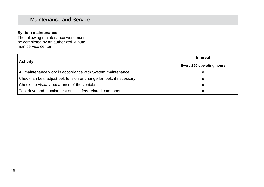#### **System maintenance II**

The following maintenance work must be completed by an authorized Minuteman service center.

| <b>Activity</b>                                                      | <b>Interval</b>           |  |
|----------------------------------------------------------------------|---------------------------|--|
|                                                                      | Every 250 operating hours |  |
| All maintenance work in accordance with System maintenance I         |                           |  |
| Check fan belt; adjust belt tension or change fan belt, if necessary |                           |  |
| Check the visual appearance of the vehicle                           |                           |  |
| Test drive and function test of all safety-related components        |                           |  |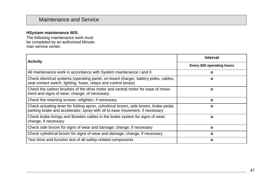#### **HSystem maintenance III/S:**

The following maintenance work must be completed by an authorized Minuteman service center.

| <b>Activity</b>                                                                                                                                                      | Interval                  |  |
|----------------------------------------------------------------------------------------------------------------------------------------------------------------------|---------------------------|--|
|                                                                                                                                                                      | Every 500 operating hours |  |
| All maintenance work in accordance with System maintenance I and II                                                                                                  | ο                         |  |
| Check electrical systems (operating panel, on-board charger, battery poles, cables,<br>seat contact switch, lighting, fuses, relays and control lamps)               | O                         |  |
| Check the carbon brushes of the drive motor and central motor for ease of move-<br>ment and signs of wear; change, of necessary                                      | O                         |  |
| Check the retaining screws; retighten, if necessary                                                                                                                  | O                         |  |
| Check actuating lever for folding apron, cylindrical broom, side broom, brake pedal,<br>parking brake and accelerator; spray with oil to ease movement. if necessary | O                         |  |
| Check brake linings and Bowden cables in the brake system for signs of wear;<br>change, if necessary                                                                 | $\Omega$                  |  |
| Check side broom for signs of wear and damage; change, if necessary                                                                                                  | O                         |  |
| Check cylindrical broom for signs of wear and damage; change, if necessary                                                                                           | ο                         |  |
| Test drive and function test of all safety-related components                                                                                                        | O                         |  |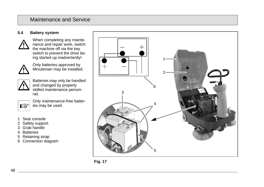#### **5.4 Battery system**



When completing any maintenance and repair work, switch the machine off via the key switch to prevent the drive being started up inadvertently!



Only batteries approved by Minuteman may be installed.



隐

Batteries may only be handled and changed by properly skilled maintenance personnel.

Only maintenance-free batteries may be used.

- 1 Seat console
- 2 Safety support
- 3 Grab handle
- 4 Batteries
- 5 Retaining strap
- 6 Connection diagram



<span id="page-47-0"></span>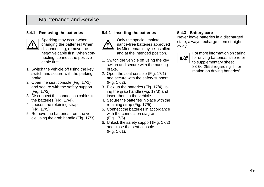#### **5.4.1 Removing the batteries**



Sparking may occur when changing the batteries! When disconnecting, remove the negative cable first. When connecting, connect the positive cable first.

- 1. Switch the vehicle off using the key switch and secure with the parking brake.
- 2. Open the seat console [\(Fig. 17/](#page-47-0)1) and secure with the safety support [\(Fig. 17/2](#page-47-0)).
- 3. Disconnect the connection cables to the batteries [\(Fig. 17/4](#page-47-0)).
- 4. Loosen the retaining strap [\(Fig. 17/5](#page-47-0)).
- 5. Remove the batteries from the vehicle using the grab handle [\(Fig. 17/3](#page-47-0)).

#### **5.4.2 Inserting the batteries**



Only the special, maintenance-free batteries approved by Minuteman may be installed and at the intended position.

- 1. Switch the vehicle off using the key switch and secure with the parking brake.
- 2. Open the seat console [\(Fig. 17/1](#page-47-0)) and secure with the safety support [\(Fig. 17/2](#page-47-0)).
- 3. Pick up the batteries [\(Fig. 17/](#page-47-0)4) using the grab handle [\(Fig. 17/3](#page-47-0)) and insert them in the vehicle.
- 4. Secure the batteries in place with the retaining strap [\(Fig. 17/](#page-47-0)5).
- 5. Connect the batteries in accordance with the connection diagram [\(Fig. 17/6](#page-47-0)).
- 6. Unlock the safety support [\(Fig. 17/2](#page-47-0)) and close the seat console [\(Fig. 17/1](#page-47-0)).

#### **5.4.3 Battery care**

Never leave batteries in a discharged state, always recharge them straight away!



For more information on caring for driving batteries, also refer to supplementary sheet 88-60-2556 regarding "Information on driving batteries".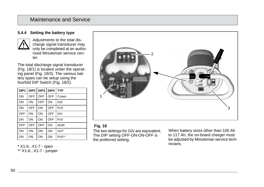#### **5.4.4 Setting the battery type**



Adjustments to the total discharge signal transducer may only be completed at an authorized Minuteman service center

The total discharge signal transducer [\(Fig. 18/1](#page-49-0)) is located under the operating panel [\(Fig. 18/3](#page-49-0)). The various battery types can be setup using the fourfold DIP Switch [\(Fig. 18/2](#page-49-0)).

| DIP1  |            |            | $DIP2$ DIP3 DIP4 TYP |            |
|-------|------------|------------|----------------------|------------|
| l on  | <b>OFF</b> | OFF        | <b>OFF</b>           | Crown      |
| ON    | ON         | <b>OFF</b> | ON                   | GiS        |
| l ON  | OFF        | ON         | OFF                  | PzS        |
| l OFF | ON         | ON         | OFF                  | GiV        |
| ON    | ON         | ON         | OFF                  | PzV        |
| l OFF | OFF        | <b>OFF</b> | ON                   | <b>AGM</b> |
| ON    | ON         | ON         | ON                   | GiV*       |
| ON    | ON         | ON         | ON                   | $PzS**$    |

\* X1-6...X1-7 - open \*\* X1-6...X1-7 - jumper



#### <span id="page-49-0"></span> **Fig. 18**

The two settings for GiV are equivalent. The DIP setting OFF-ON-ON-OFF is the preferred setting.

When battery sizes other than 100 Ah to 117 Ah, the on-board charger must be adjusted by Minuteman service technicians.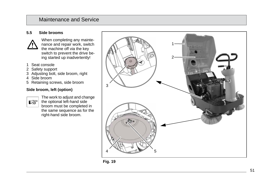#### **5.5 Side brooms**



When completing any mainte nance and repair work, switch the machine off via the key switch to prevent the drive be ing started up inadvertently!

- 1 Seat console
- 2 Safety support
- 3 Adjusting bolt, side broom, right
- 4 Side broom
- 5 Retaining screws, side broom

#### **Side broom, left (option)**



The work to adjust and change the optional left-hand side broom must be completed in the same sequence as for the right-hand side broom.



<span id="page-50-0"></span>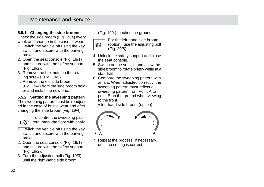#### **5.5.1 Changing the side brooms**

Check the side broom [\(Fig. 19/](#page-50-0)4) every week and change in the case of wear.

- 1. Switch the vehicle off using the key switch and secure with the parking brake.
- 2. Open the seat console [\(Fig. 19/1](#page-50-0)) and secure with the safety support [\(Fig. 19/](#page-50-0)2).
- 3. Remove the hex nuts on the retaining screws [\(Fig. 19/](#page-50-0)5).
- 4. Remove the old side broom [\(Fig. 19/](#page-50-0)4) from the side broom holder and install the new one.

#### **5.5.2 Setting the sweeping pattern**

The sweeping pattern must be readjusted in the case of bristle wear and after changing the side broom [\(Fig. 19/4](#page-50-0)).



To control the sweeping pattern, mark the floor with chalk.

- 1. Switch the vehicle off using the key switch and secure with the parking brake.
- 2. Open the seat console [\(Fig. 19/1](#page-50-0)) and secure with the safety support [\(Fig. 19/](#page-50-0)2).
- 3. Turn the adjusting bolt [\(Fig. 19/3](#page-50-0)) until the right-hand side broom

[\(Fig. 19/](#page-50-0)4) touches the ground.



For the left-hand side broom

(option), use the adjusting bolt [\(Fig. 20/8](#page-52-0)).

- 4. Unlock the safety support and close the seat console.
- 5. Switch on the vehicle and allow the side broom to rotate briefly while at a standstill.
- 6. Compare the sweeping pattern with an arc. When adjusted correctly, the sweeping pattern must reflect a sweeping pattern from Point A to point B on the ground when viewing to the front.

\* left-hand side broom (option).



7. Repeat the process, if necessary, until the setting is correct.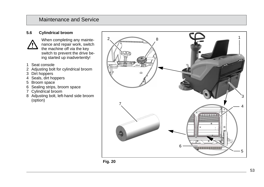#### **5.6 Cylindrical broom**



When completing any mainte nance and repair work, switch the machine off via the key switch to prevent the drive be ing started up inadvertently!

- 1 Seat console
- 2 Adjusting bolt for cylindrical broom
- 3 Dirt hoppers
- 4 Seals, dirt hoppers
- 5 Broom space
- 6 Sealing strips, broom space
- 7 Cylindrical broom
- 8 Adjusting bolt, left-hand side broom (option)



<span id="page-52-0"></span>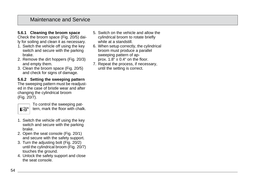#### **5.6.1 Cleaning the broom space**

Check the broom space [\(Fig. 20/](#page-52-0)5) daily for soiling and clean it as necessary.

- 1. Switch the vehicle off using the key switch and secure with the parking brake.
- 2. Remove the dirt hoppers [\(Fig. 20/](#page-52-0)3) and empty them.
- 3. Clean the broom space [\(Fig. 20/5](#page-52-0)) and check for signs of damage.

#### **5.6.2 Setting the sweeping pattern**

The sweeping pattern must be readjusted in the case of bristle wear and after changing the cylindrical broom [\(Fig. 20/7](#page-52-0)).



To control the sweeping pattern, mark the floor with chalk.

- 1. Switch the vehicle off using the key switch and secure with the parking brake.
- 2. Open the seat console [\(Fig. 20/1](#page-52-0)) and secure with the safety support.
- 3. Turn the adjusting bolt [\(Fig. 20/2](#page-52-0)) until the cylindrical broom [\(Fig. 20/7](#page-52-0)) touches the ground.
- 4. Unlock the safety support and close the seat console.
- 5. Switch on the vehicle and allow the cylindrical broom to rotate briefly while at a standstill.
- 6. When setup correctly, the cylindrical broom must produce a parallel sweeping pattern of approx.  $1.8^{\circ} \pm 0.4^{\circ}$  on the floor.
- 7. Repeat the process, if necessary, until the setting is correct.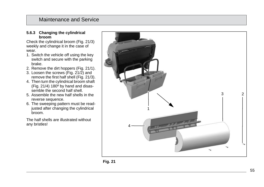#### **5.6.3 Changing the cylindrical broom**

Check the cylindrical broom [\(Fig. 21/](#page-54-0)3) weekly and change it in the case of wear.

- 1. Switch the vehicle off using the key switch and secure with the parking brake.
- 2. Remove the dirt hoppers [\(Fig. 21/1](#page-54-0)).
- 3. Loosen the screws [\(Fig. 21/](#page-54-0)2) and remove the first half shell [\(Fig. 21/3](#page-54-0)).
- 4. Then turn the cylindrical broom shaft [\(Fig. 21/4](#page-54-0)) 180º by hand and disas semble the second half shell.
- 5. Assemble the new half shells in the reverse sequence.
- 6. The sweeping pattern must be read justed after changing the cylindrical broom.

The half shells are illustrated without any bristles!



<span id="page-54-0"></span>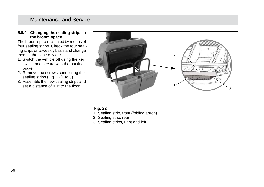#### **5.6.4 Changing the sealing strips in the broom space**

The broom space is sealed by means of four sealing strips. Check the four sealing strips on a weekly basis and change them in the case of wear.

- 1. Switch the vehicle off using the key switch and secure with the parking brake.
- 2. Remove the screws connecting the sealing strips [\(Fig. 22/](#page-55-0)1 to 3).
- 3. Assemble the new sealing strips and set a distance of 0.1" to the floor.



#### <span id="page-55-0"></span> **Fig. 22**

- 1 Sealing strip, front (folding apron)
- 2 Sealing strip, rear
- 3 Sealing strips, right and left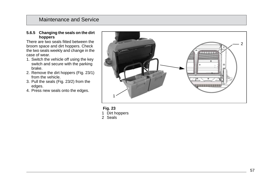#### **5.6.5 Changing the seals on the dirt hoppers**

There are two seals fitted between the broom space and dirt hoppers. Check the two seals weekly and change in the case of wear.

- 1. Switch the vehicle off using the key switch and secure with the parking brake.
- 2. Remove the dirt hoppers [\(Fig. 23/1](#page-56-0)) from the vehicle.
- 3. Pull the seals [\(Fig. 23/2](#page-56-0)) from the edges.
- 4. Press new seals onto the edges.



<span id="page-56-0"></span>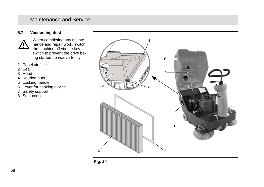#### **5.7 Vacuuming dust**



When completing any maintenance and repair work, switch the machine off via the key switch to prevent the drive being started up inadvertently!

- 1 Panel air filter
- 2 Seal
- 3 Hood
- 4 Knurled nuts
- 5 Locking handle
- 6 Lever for shaking device
- 7 Safety support
- 8 Seat console



<span id="page-57-0"></span>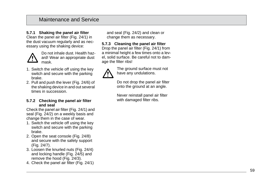#### **5.7.1 Shaking the panel air filter**

Clean the panel air filter [\(Fig. 24/](#page-57-0)1) in the dust vacuum regularly and as necessary using the shaking device:



Do not inhale dust. Health haz ard! Wear an appropriate dust mask.

- 1. Switch the vehicle off using the key switch and secure with the parking brake.
- 2. Pull and push the lever [\(Fig. 24/6](#page-57-0)) of the shaking device in and out several times in succession.

#### **5.7.2 Checking the panel air filter and seal**

Check the panel air filter [\(Fig. 24/1](#page-57-0)) and seal [\(Fig. 24/2](#page-57-0)) on a weekly basis and change them in the case of wear.

- 1. Switch the vehicle off using the key switch and secure with the parking brake.
- 2. Open the seat console [\(Fig. 24/](#page-57-0)8) and secure with the safety support [\(Fig. 24/7](#page-57-0)).
- 3. Loosen the knurled nuts [\(Fig. 24/](#page-57-0)4) and locking handle [\(Fig. 24/](#page-57-0)5) and remove the hood [\(Fig. 24/3](#page-57-0)).
- 4. Check the panel air filter [\(Fig. 24/](#page-57-0)1)

and seal [\(Fig. 24/](#page-57-0)2) and clean or change them as necessary.

**5.7.3 Cleaning the panel air filter**

Drop the panel air filter [\(Fig. 24/1](#page-57-0)) from a minimal height a few times onto a level, solid surface. Be careful not to damage the filter ribs!



The ground surface must not have any undulations.

Do not drop the panel air filter onto the ground at an angle.

Never reinstall panel air filter with damaged filter ribs.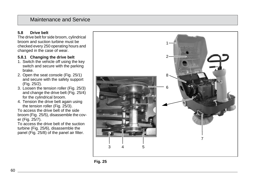#### **5.8 Drive belt**

The drive belt for side broom, cylindrical broom and suction turbine must be checked every 250 operating hours and changed in the case of wear.

#### **5.8.1 Changing the drive belt**

- 1. Switch the vehicle off using the key switch and secure with the parking brake.
- 2. Open the seat console [\(Fig. 25/1](#page-59-0)) and secure with the safety support [\(Fig. 25/](#page-59-0)2).
- 3. Loosen the tension roller [\(Fig. 25/](#page-59-0)3) and change the drive belt [\(Fig. 25/4](#page-59-0)) for the cylindrical broom.
- 4. Tension the drive belt again using the tension roller [\(Fig. 25/](#page-59-0)3).

To access the drive belt of the side broom [\(Fig. 25/](#page-59-0)5), disassemble the cover [\(Fig. 25/](#page-59-0)7).

To access the drive belt of the suction turbine [\(Fig. 25/6](#page-59-0)), disassemble the panel [\(Fig. 25/](#page-59-0)8) of the panel air filter.



<span id="page-59-0"></span>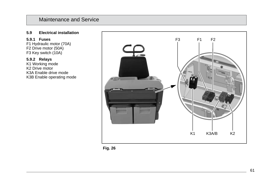#### **5.9 Electrical installation**

#### **5.9.1 Fuses**

F1 Hydraulic motor (70A) F2 Drive motor (50A) F3 Key switch (10A)

#### **5.9.2 Relays**

K1 Working mode K2 Drive motor K3A Enable drive mode K3B Enable operating mode



<span id="page-60-0"></span>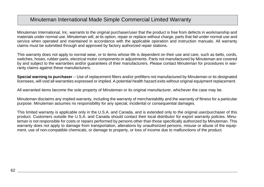## Minuteman International Made Simple Commercial Limited Warranty

Minuteman International, Inc. warrants to the original purchaser/user that the product is free from defects in workmanship and materials under normal use. Minuteman will, at its option, repair or replace without charge, parts that fail under normal use and service when operated and maintained in accordance with the applicable operation and instruction manuals. All warranty claims must be submitted through and approved by factory authorized repair stations.

This warranty does not apply to normal wear, or to items whose life is dependent on their use and care, such as belts, cords, switches, hoses, rubber parts, electrical motor components or adjustments. Parts not manufactured by Minuteman are covered by and subject to the warranties and/or guarantees of their manufacturers. Please contact Minuteman for procedures in warranty claims against these manufacturers.

**Special warning to purchaser** -- Use of replacement filters and/or prefilters not manufactured by Minuteman or its designated licensees, will void all warranties expressed or implied. A potential health hazard exits without original equipment replacement.

All warranted items become the sole property of Minuteman or its original manufacturer, whichever the case may be.

Minuteman disclaims any implied warranty, including the warranty of merchantability and the warranty of fitness for a particular purpose. Minuteman assumes no responsibility for any special, incidental or consequential damages.

This limited warranty is applicable only in the U.S.A. and Canada, and is extended only to the original user/purchaser of this product. Customers outside the U.S.A. and Canada should contact their local distributor for export warranty policies. Minuteman is not responsible for costs or repairs performed by persons other than those specifically authorized by Minuteman. This warranty does not apply to damage from transportation, alterations by unauthorized persons, misuse or abuse of the equipment, use of non-compatible chemicals, or damage to property, or loss of income due to malfunctions of the product.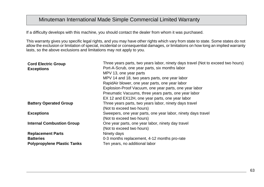## Minuteman International Made Simple Commercial Limited Warranty

If a difficulty develops with this machine, you should contact the dealer from whom it was purchased.

This warranty gives you specific legal rights, and you may have other rights which vary from state to state. Some states do not allow the exclusion or limitation of special, incidental or consequential damages, or limitations on how long an implied warranty lasts, so the above exclusions and limitations may not apply to you.

| Three years parts, two years labor, ninety days travel (Not to exceed two hours)<br><b>Cord Electric Group</b> |                                                |  |  |  |
|----------------------------------------------------------------------------------------------------------------|------------------------------------------------|--|--|--|
| Port-A-Scrub, one year parts, six months labor<br><b>Exceptions</b>                                            |                                                |  |  |  |
| MPV 13, one year parts                                                                                         | MPV 14 and 18, two years parts, one year labor |  |  |  |
|                                                                                                                |                                                |  |  |  |
| RapidAir blower, one year parts, one year labor                                                                |                                                |  |  |  |
| Explosion-Proof Vacuum, one year parts, one year labor                                                         |                                                |  |  |  |
| Pneumatic Vacuums, three years parts, one year labor                                                           |                                                |  |  |  |
| EX 12 and EX12H, one year parts, one year labor                                                                |                                                |  |  |  |
| <b>Battery Operated Group</b><br>Three years parts, two years labor, ninety days travel                        |                                                |  |  |  |
| (Not to exceed two hours)                                                                                      |                                                |  |  |  |
| <b>Exceptions</b><br>Sweepers, one year parts, one year labor, ninety days travel                              |                                                |  |  |  |
| (Not to exceed two hours)                                                                                      |                                                |  |  |  |
| <b>Internal Combustion Group</b><br>One year parts, one year labor, ninety day travel                          |                                                |  |  |  |
| (Not to exceed two hours)                                                                                      |                                                |  |  |  |
| <b>Replacement Parts</b><br>Ninety days                                                                        |                                                |  |  |  |
| <b>Batteries</b><br>0-3 months replacement, 4-12 months pro-rate                                               |                                                |  |  |  |
| <b>Polypropylene Plastic Tanks</b><br>Ten years, no additional labor                                           |                                                |  |  |  |